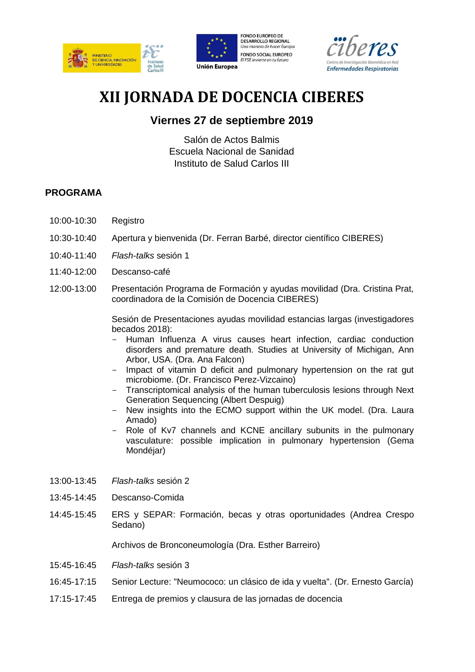





# **XII JORNADA DE DOCENCIA CIBERES**

## **Viernes 27 de septiembre 2019**

Salón de Actos Balmis Escuela Nacional de Sanidad Instituto de Salud Carlos III

### **PROGRAMA**

- 10:00-10:30 Registro
- 10:30-10:40 Apertura y bienvenida (Dr. Ferran Barbé, director científico CIBERES)
- 10:40-11:40 *Flash-talks* sesión 1
- 11:40-12:00 Descanso-café
- 12:00-13:00 Presentación Programa de Formación y ayudas movilidad (Dra. Cristina Prat, coordinadora de la Comisión de Docencia CIBERES)

Sesión de Presentaciones ayudas movilidad estancias largas (investigadores becados 2018):

- Human Influenza A virus causes heart infection, cardiac conduction disorders and premature death. Studies at University of Michigan, Ann Arbor, USA. (Dra. Ana Falcon)
- Impact of vitamin D deficit and pulmonary hypertension on the rat gut microbiome. (Dr. Francisco Perez-Vizcaino)
- Transcriptomical analysis of the human tuberculosis lesions through Next Generation Sequencing (Albert Despuig)
- New insights into the ECMO support within the UK model. (Dra. Laura Amado)
- Role of Kv7 channels and KCNE ancillary subunits in the pulmonary vasculature: possible implication in pulmonary hypertension (Gema Mondéjar)
- 13:00-13:45 *Flash-talks* sesión 2
- 13:45-14:45 Descanso-Comida
- 14:45-15:45 ERS y SEPAR: Formación, becas y otras oportunidades (Andrea Crespo Sedano)

Archivos de Bronconeumología (Dra. Esther Barreiro)

- 15:45-16:45 *Flash-talks* sesión 3
- 16:45-17:15 Senior Lecture: "Neumococo: un clásico de ida y vuelta". (Dr. Ernesto García)
- 17:15-17:45 Entrega de premios y clausura de las jornadas de docencia